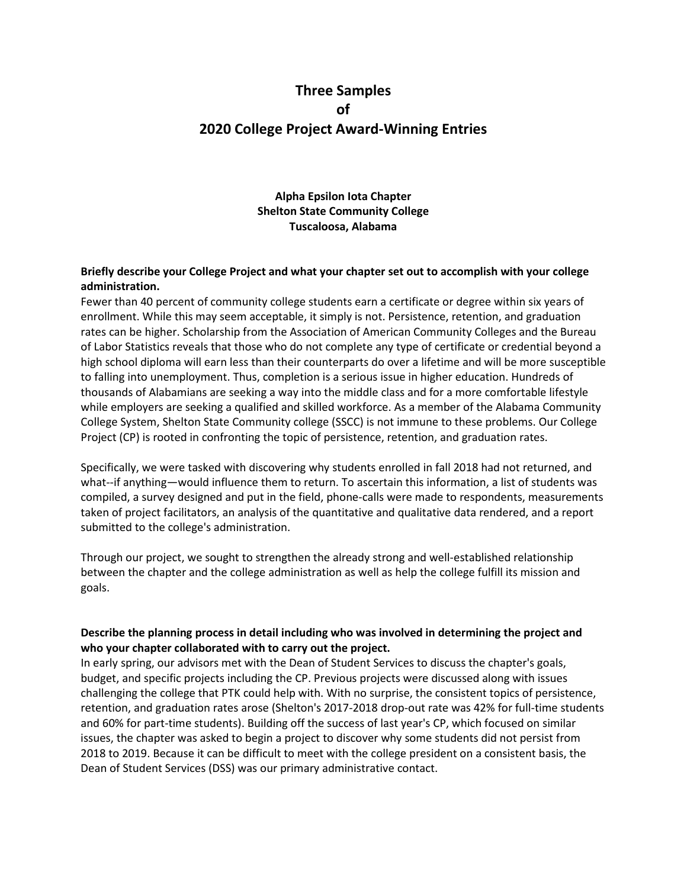# **Three Samples of 2020 College Project Award-Winning Entries**

**Alpha Epsilon Iota Chapter Shelton State Community College Tuscaloosa, Alabama**

#### **Briefly describe your College Project and what your chapter set out to accomplish with your college administration.**

Fewer than 40 percent of community college students earn a certificate or degree within six years of enrollment. While this may seem acceptable, it simply is not. Persistence, retention, and graduation rates can be higher. Scholarship from the Association of American Community Colleges and the Bureau of Labor Statistics reveals that those who do not complete any type of certificate or credential beyond a high school diploma will earn less than their counterparts do over a lifetime and will be more susceptible to falling into unemployment. Thus, completion is a serious issue in higher education. Hundreds of thousands of Alabamians are seeking a way into the middle class and for a more comfortable lifestyle while employers are seeking a qualified and skilled workforce. As a member of the Alabama Community College System, Shelton State Community college (SSCC) is not immune to these problems. Our College Project (CP) is rooted in confronting the topic of persistence, retention, and graduation rates.

Specifically, we were tasked with discovering why students enrolled in fall 2018 had not returned, and what--if anything—would influence them to return. To ascertain this information, a list of students was compiled, a survey designed and put in the field, phone-calls were made to respondents, measurements taken of project facilitators, an analysis of the quantitative and qualitative data rendered, and a report submitted to the college's administration.

Through our project, we sought to strengthen the already strong and well-established relationship between the chapter and the college administration as well as help the college fulfill its mission and goals.

## **Describe the planning process in detail including who was involved in determining the project and who your chapter collaborated with to carry out the project.**

In early spring, our advisors met with the Dean of Student Services to discuss the chapter's goals, budget, and specific projects including the CP. Previous projects were discussed along with issues challenging the college that PTK could help with. With no surprise, the consistent topics of persistence, retention, and graduation rates arose (Shelton's 2017-2018 drop-out rate was 42% for full-time students and 60% for part-time students). Building off the success of last year's CP, which focused on similar issues, the chapter was asked to begin a project to discover why some students did not persist from 2018 to 2019. Because it can be difficult to meet with the college president on a consistent basis, the Dean of Student Services (DSS) was our primary administrative contact.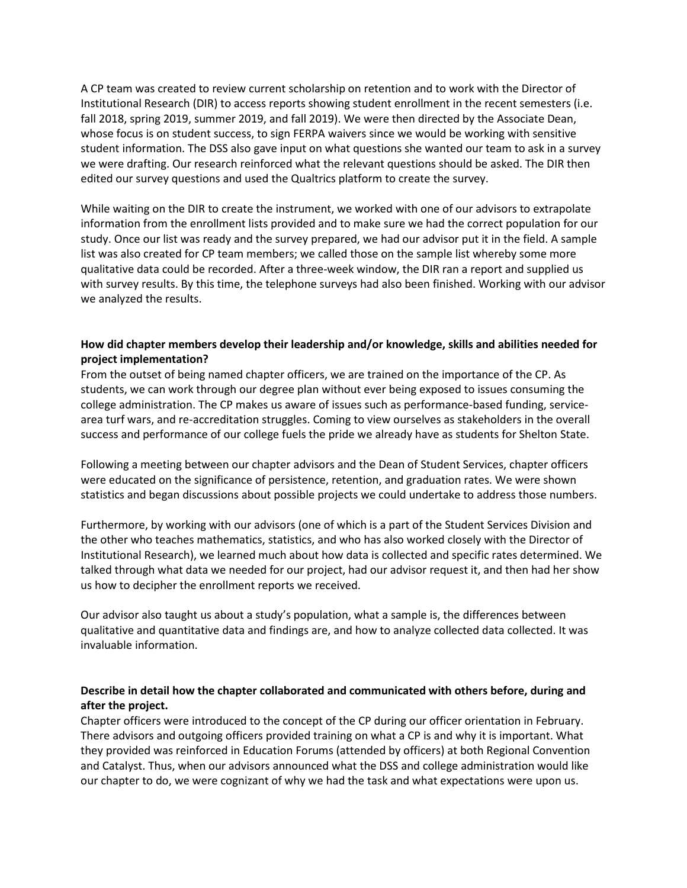A CP team was created to review current scholarship on retention and to work with the Director of Institutional Research (DIR) to access reports showing student enrollment in the recent semesters (i.e. fall 2018, spring 2019, summer 2019, and fall 2019). We were then directed by the Associate Dean, whose focus is on student success, to sign FERPA waivers since we would be working with sensitive student information. The DSS also gave input on what questions she wanted our team to ask in a survey we were drafting. Our research reinforced what the relevant questions should be asked. The DIR then edited our survey questions and used the Qualtrics platform to create the survey.

While waiting on the DIR to create the instrument, we worked with one of our advisors to extrapolate information from the enrollment lists provided and to make sure we had the correct population for our study. Once our list was ready and the survey prepared, we had our advisor put it in the field. A sample list was also created for CP team members; we called those on the sample list whereby some more qualitative data could be recorded. After a three-week window, the DIR ran a report and supplied us with survey results. By this time, the telephone surveys had also been finished. Working with our advisor we analyzed the results.

## **How did chapter members develop their leadership and/or knowledge, skills and abilities needed for project implementation?**

From the outset of being named chapter officers, we are trained on the importance of the CP. As students, we can work through our degree plan without ever being exposed to issues consuming the college administration. The CP makes us aware of issues such as performance-based funding, servicearea turf wars, and re-accreditation struggles. Coming to view ourselves as stakeholders in the overall success and performance of our college fuels the pride we already have as students for Shelton State.

Following a meeting between our chapter advisors and the Dean of Student Services, chapter officers were educated on the significance of persistence, retention, and graduation rates. We were shown statistics and began discussions about possible projects we could undertake to address those numbers.

Furthermore, by working with our advisors (one of which is a part of the Student Services Division and the other who teaches mathematics, statistics, and who has also worked closely with the Director of Institutional Research), we learned much about how data is collected and specific rates determined. We talked through what data we needed for our project, had our advisor request it, and then had her show us how to decipher the enrollment reports we received.

Our advisor also taught us about a study's population, what a sample is, the differences between qualitative and quantitative data and findings are, and how to analyze collected data collected. It was invaluable information.

# **Describe in detail how the chapter collaborated and communicated with others before, during and after the project.**

Chapter officers were introduced to the concept of the CP during our officer orientation in February. There advisors and outgoing officers provided training on what a CP is and why it is important. What they provided was reinforced in Education Forums (attended by officers) at both Regional Convention and Catalyst. Thus, when our advisors announced what the DSS and college administration would like our chapter to do, we were cognizant of why we had the task and what expectations were upon us.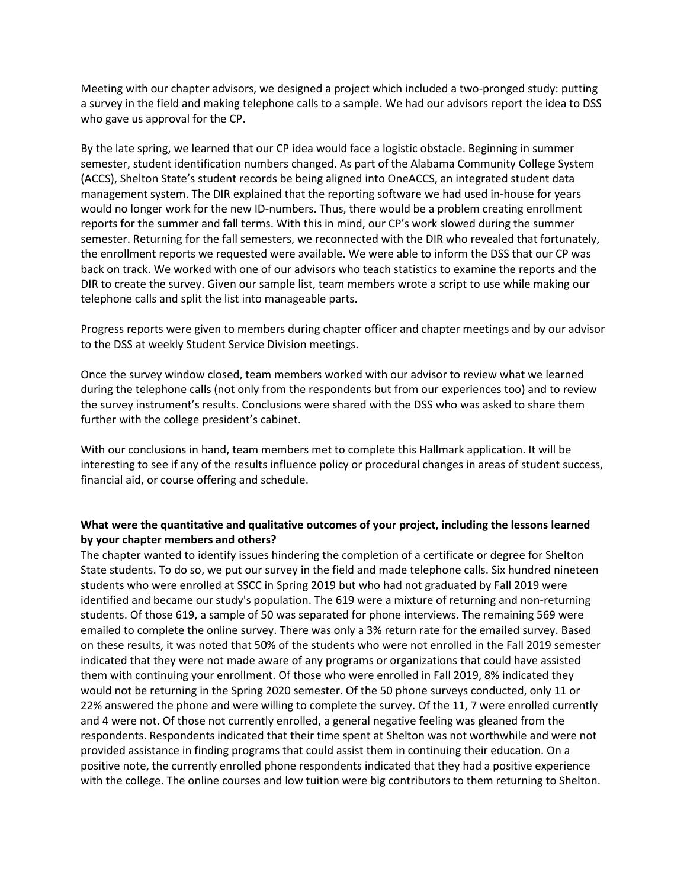Meeting with our chapter advisors, we designed a project which included a two-pronged study: putting a survey in the field and making telephone calls to a sample. We had our advisors report the idea to DSS who gave us approval for the CP.

By the late spring, we learned that our CP idea would face a logistic obstacle. Beginning in summer semester, student identification numbers changed. As part of the Alabama Community College System (ACCS), Shelton State's student records be being aligned into OneACCS, an integrated student data management system. The DIR explained that the reporting software we had used in-house for years would no longer work for the new ID-numbers. Thus, there would be a problem creating enrollment reports for the summer and fall terms. With this in mind, our CP's work slowed during the summer semester. Returning for the fall semesters, we reconnected with the DIR who revealed that fortunately, the enrollment reports we requested were available. We were able to inform the DSS that our CP was back on track. We worked with one of our advisors who teach statistics to examine the reports and the DIR to create the survey. Given our sample list, team members wrote a script to use while making our telephone calls and split the list into manageable parts.

Progress reports were given to members during chapter officer and chapter meetings and by our advisor to the DSS at weekly Student Service Division meetings.

Once the survey window closed, team members worked with our advisor to review what we learned during the telephone calls (not only from the respondents but from our experiences too) and to review the survey instrument's results. Conclusions were shared with the DSS who was asked to share them further with the college president's cabinet.

With our conclusions in hand, team members met to complete this Hallmark application. It will be interesting to see if any of the results influence policy or procedural changes in areas of student success, financial aid, or course offering and schedule.

## **What were the quantitative and qualitative outcomes of your project, including the lessons learned by your chapter members and others?**

The chapter wanted to identify issues hindering the completion of a certificate or degree for Shelton State students. To do so, we put our survey in the field and made telephone calls. Six hundred nineteen students who were enrolled at SSCC in Spring 2019 but who had not graduated by Fall 2019 were identified and became our study's population. The 619 were a mixture of returning and non-returning students. Of those 619, a sample of 50 was separated for phone interviews. The remaining 569 were emailed to complete the online survey. There was only a 3% return rate for the emailed survey. Based on these results, it was noted that 50% of the students who were not enrolled in the Fall 2019 semester indicated that they were not made aware of any programs or organizations that could have assisted them with continuing your enrollment. Of those who were enrolled in Fall 2019, 8% indicated they would not be returning in the Spring 2020 semester. Of the 50 phone surveys conducted, only 11 or 22% answered the phone and were willing to complete the survey. Of the 11, 7 were enrolled currently and 4 were not. Of those not currently enrolled, a general negative feeling was gleaned from the respondents. Respondents indicated that their time spent at Shelton was not worthwhile and were not provided assistance in finding programs that could assist them in continuing their education. On a positive note, the currently enrolled phone respondents indicated that they had a positive experience with the college. The online courses and low tuition were big contributors to them returning to Shelton.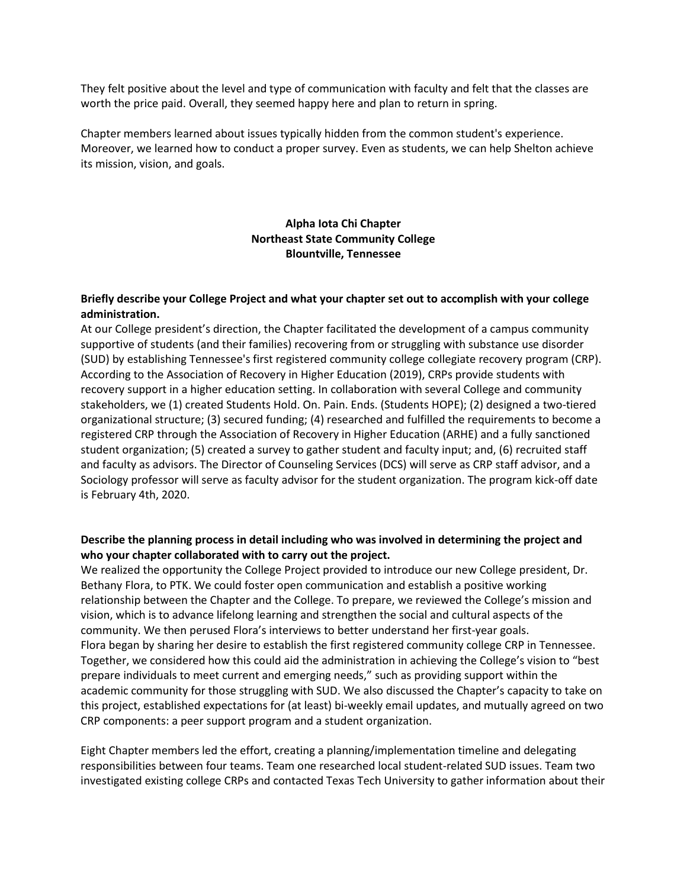They felt positive about the level and type of communication with faculty and felt that the classes are worth the price paid. Overall, they seemed happy here and plan to return in spring.

Chapter members learned about issues typically hidden from the common student's experience. Moreover, we learned how to conduct a proper survey. Even as students, we can help Shelton achieve its mission, vision, and goals.

# **Alpha Iota Chi Chapter Northeast State Community College Blountville, Tennessee**

#### **Briefly describe your College Project and what your chapter set out to accomplish with your college administration.**

At our College president's direction, the Chapter facilitated the development of a campus community supportive of students (and their families) recovering from or struggling with substance use disorder (SUD) by establishing Tennessee's first registered community college collegiate recovery program (CRP). According to the Association of Recovery in Higher Education (2019), CRPs provide students with recovery support in a higher education setting. In collaboration with several College and community stakeholders, we (1) created Students Hold. On. Pain. Ends. (Students HOPE); (2) designed a two-tiered organizational structure; (3) secured funding; (4) researched and fulfilled the requirements to become a registered CRP through the Association of Recovery in Higher Education (ARHE) and a fully sanctioned student organization; (5) created a survey to gather student and faculty input; and, (6) recruited staff and faculty as advisors. The Director of Counseling Services (DCS) will serve as CRP staff advisor, and a Sociology professor will serve as faculty advisor for the student organization. The program kick-off date is February 4th, 2020.

## **Describe the planning process in detail including who was involved in determining the project and who your chapter collaborated with to carry out the project.**

We realized the opportunity the College Project provided to introduce our new College president, Dr. Bethany Flora, to PTK. We could foster open communication and establish a positive working relationship between the Chapter and the College. To prepare, we reviewed the College's mission and vision, which is to advance lifelong learning and strengthen the social and cultural aspects of the community. We then perused Flora's interviews to better understand her first-year goals. Flora began by sharing her desire to establish the first registered community college CRP in Tennessee. Together, we considered how this could aid the administration in achieving the College's vision to "best prepare individuals to meet current and emerging needs," such as providing support within the academic community for those struggling with SUD. We also discussed the Chapter's capacity to take on this project, established expectations for (at least) bi-weekly email updates, and mutually agreed on two CRP components: a peer support program and a student organization.

Eight Chapter members led the effort, creating a planning/implementation timeline and delegating responsibilities between four teams. Team one researched local student-related SUD issues. Team two investigated existing college CRPs and contacted Texas Tech University to gather information about their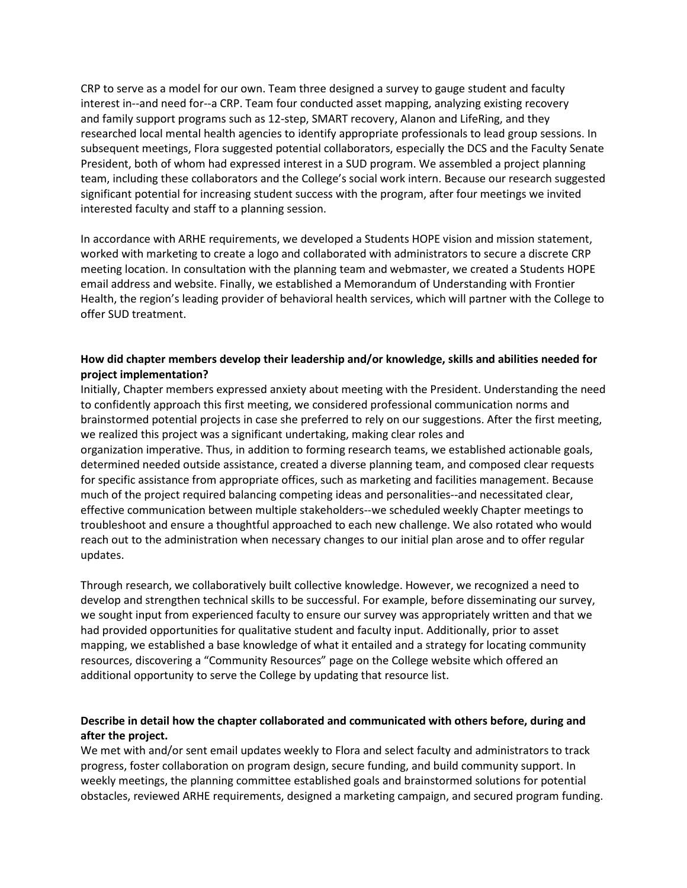CRP to serve as a model for our own. Team three designed a survey to gauge student and faculty interest in--and need for--a CRP. Team four conducted asset mapping, analyzing existing recovery and family support programs such as 12-step, SMART recovery, Alanon and LifeRing, and they researched local mental health agencies to identify appropriate professionals to lead group sessions. In subsequent meetings, Flora suggested potential collaborators, especially the DCS and the Faculty Senate President, both of whom had expressed interest in a SUD program. We assembled a project planning team, including these collaborators and the College's social work intern. Because our research suggested significant potential for increasing student success with the program, after four meetings we invited interested faculty and staff to a planning session.

In accordance with ARHE requirements, we developed a Students HOPE vision and mission statement, worked with marketing to create a logo and collaborated with administrators to secure a discrete CRP meeting location. In consultation with the planning team and webmaster, we created a Students HOPE email address and website. Finally, we established a Memorandum of Understanding with Frontier Health, the region's leading provider of behavioral health services, which will partner with the College to offer SUD treatment.

## **How did chapter members develop their leadership and/or knowledge, skills and abilities needed for project implementation?**

Initially, Chapter members expressed anxiety about meeting with the President. Understanding the need to confidently approach this first meeting, we considered professional communication norms and brainstormed potential projects in case she preferred to rely on our suggestions. After the first meeting, we realized this project was a significant undertaking, making clear roles and organization imperative. Thus, in addition to forming research teams, we established actionable goals, determined needed outside assistance, created a diverse planning team, and composed clear requests for specific assistance from appropriate offices, such as marketing and facilities management. Because much of the project required balancing competing ideas and personalities--and necessitated clear, effective communication between multiple stakeholders--we scheduled weekly Chapter meetings to troubleshoot and ensure a thoughtful approached to each new challenge. We also rotated who would reach out to the administration when necessary changes to our initial plan arose and to offer regular updates.

Through research, we collaboratively built collective knowledge. However, we recognized a need to develop and strengthen technical skills to be successful. For example, before disseminating our survey, we sought input from experienced faculty to ensure our survey was appropriately written and that we had provided opportunities for qualitative student and faculty input. Additionally, prior to asset mapping, we established a base knowledge of what it entailed and a strategy for locating community resources, discovering a "Community Resources" page on the College website which offered an additional opportunity to serve the College by updating that resource list.

## **Describe in detail how the chapter collaborated and communicated with others before, during and after the project.**

We met with and/or sent email updates weekly to Flora and select faculty and administrators to track progress, foster collaboration on program design, secure funding, and build community support. In weekly meetings, the planning committee established goals and brainstormed solutions for potential obstacles, reviewed ARHE requirements, designed a marketing campaign, and secured program funding.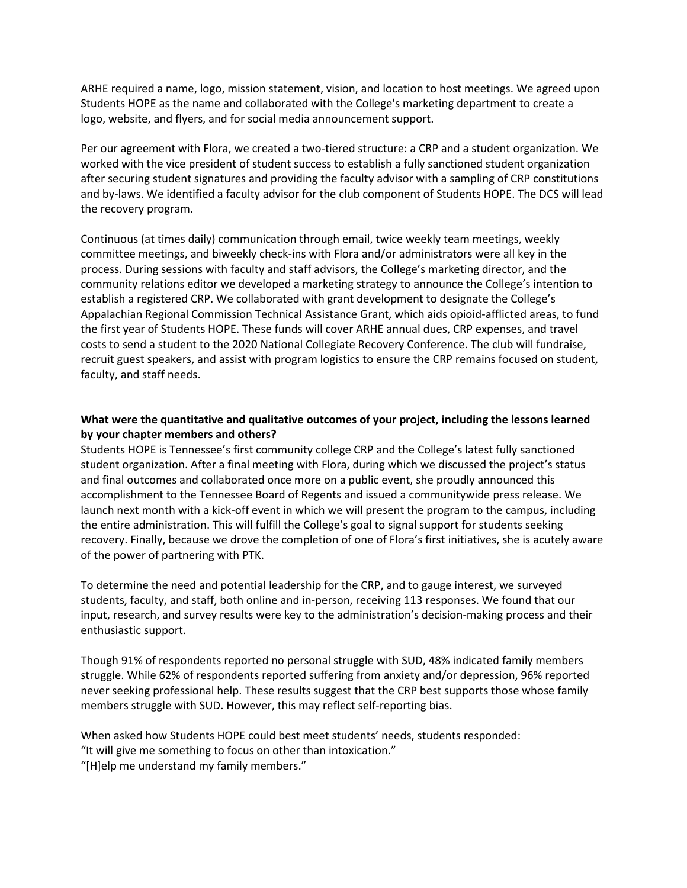ARHE required a name, logo, mission statement, vision, and location to host meetings. We agreed upon Students HOPE as the name and collaborated with the College's marketing department to create a logo, website, and flyers, and for social media announcement support.

Per our agreement with Flora, we created a two-tiered structure: a CRP and a student organization. We worked with the vice president of student success to establish a fully sanctioned student organization after securing student signatures and providing the faculty advisor with a sampling of CRP constitutions and by-laws. We identified a faculty advisor for the club component of Students HOPE. The DCS will lead the recovery program.

Continuous (at times daily) communication through email, twice weekly team meetings, weekly committee meetings, and biweekly check-ins with Flora and/or administrators were all key in the process. During sessions with faculty and staff advisors, the College's marketing director, and the community relations editor we developed a marketing strategy to announce the College's intention to establish a registered CRP. We collaborated with grant development to designate the College's Appalachian Regional Commission Technical Assistance Grant, which aids opioid-afflicted areas, to fund the first year of Students HOPE. These funds will cover ARHE annual dues, CRP expenses, and travel costs to send a student to the 2020 National Collegiate Recovery Conference. The club will fundraise, recruit guest speakers, and assist with program logistics to ensure the CRP remains focused on student, faculty, and staff needs.

## **What were the quantitative and qualitative outcomes of your project, including the lessons learned by your chapter members and others?**

Students HOPE is Tennessee's first community college CRP and the College's latest fully sanctioned student organization. After a final meeting with Flora, during which we discussed the project's status and final outcomes and collaborated once more on a public event, she proudly announced this accomplishment to the Tennessee Board of Regents and issued a communitywide press release. We launch next month with a kick-off event in which we will present the program to the campus, including the entire administration. This will fulfill the College's goal to signal support for students seeking recovery. Finally, because we drove the completion of one of Flora's first initiatives, she is acutely aware of the power of partnering with PTK.

To determine the need and potential leadership for the CRP, and to gauge interest, we surveyed students, faculty, and staff, both online and in-person, receiving 113 responses. We found that our input, research, and survey results were key to the administration's decision-making process and their enthusiastic support.

Though 91% of respondents reported no personal struggle with SUD, 48% indicated family members struggle. While 62% of respondents reported suffering from anxiety and/or depression, 96% reported never seeking professional help. These results suggest that the CRP best supports those whose family members struggle with SUD. However, this may reflect self-reporting bias.

When asked how Students HOPE could best meet students' needs, students responded: "It will give me something to focus on other than intoxication."

"[H]elp me understand my family members."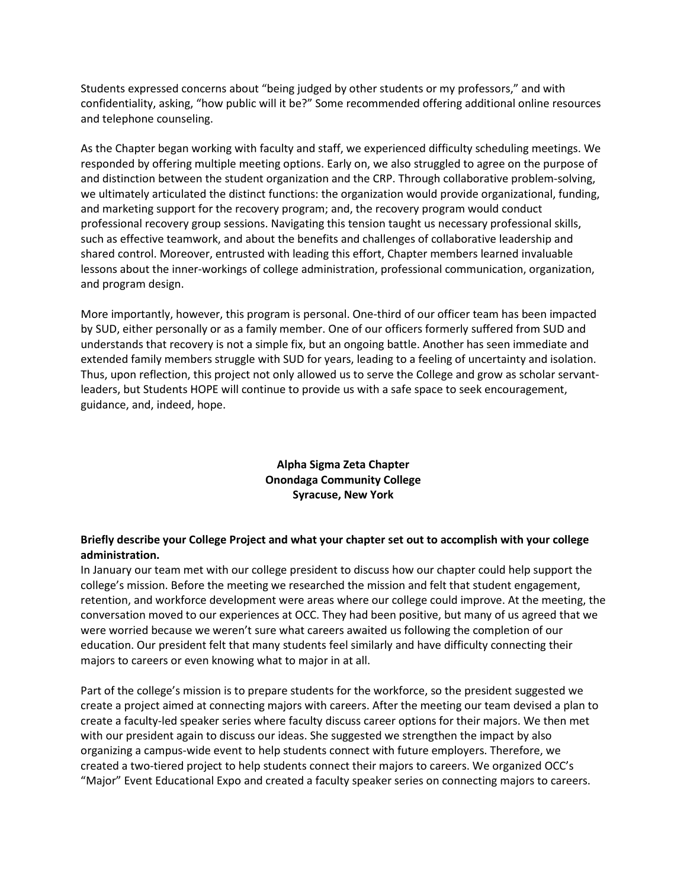Students expressed concerns about "being judged by other students or my professors," and with confidentiality, asking, "how public will it be?" Some recommended offering additional online resources and telephone counseling.

As the Chapter began working with faculty and staff, we experienced difficulty scheduling meetings. We responded by offering multiple meeting options. Early on, we also struggled to agree on the purpose of and distinction between the student organization and the CRP. Through collaborative problem-solving, we ultimately articulated the distinct functions: the organization would provide organizational, funding, and marketing support for the recovery program; and, the recovery program would conduct professional recovery group sessions. Navigating this tension taught us necessary professional skills, such as effective teamwork, and about the benefits and challenges of collaborative leadership and shared control. Moreover, entrusted with leading this effort, Chapter members learned invaluable lessons about the inner-workings of college administration, professional communication, organization, and program design.

More importantly, however, this program is personal. One-third of our officer team has been impacted by SUD, either personally or as a family member. One of our officers formerly suffered from SUD and understands that recovery is not a simple fix, but an ongoing battle. Another has seen immediate and extended family members struggle with SUD for years, leading to a feeling of uncertainty and isolation. Thus, upon reflection, this project not only allowed us to serve the College and grow as scholar servantleaders, but Students HOPE will continue to provide us with a safe space to seek encouragement, guidance, and, indeed, hope.

# **Alpha Sigma Zeta Chapter Onondaga Community College Syracuse, New York**

# **Briefly describe your College Project and what your chapter set out to accomplish with your college administration.**

In January our team met with our college president to discuss how our chapter could help support the college's mission. Before the meeting we researched the mission and felt that student engagement, retention, and workforce development were areas where our college could improve. At the meeting, the conversation moved to our experiences at OCC. They had been positive, but many of us agreed that we were worried because we weren't sure what careers awaited us following the completion of our education. Our president felt that many students feel similarly and have difficulty connecting their majors to careers or even knowing what to major in at all.

Part of the college's mission is to prepare students for the workforce, so the president suggested we create a project aimed at connecting majors with careers. After the meeting our team devised a plan to create a faculty-led speaker series where faculty discuss career options for their majors. We then met with our president again to discuss our ideas. She suggested we strengthen the impact by also organizing a campus-wide event to help students connect with future employers. Therefore, we created a two-tiered project to help students connect their majors to careers. We organized OCC's "Major" Event Educational Expo and created a faculty speaker series on connecting majors to careers.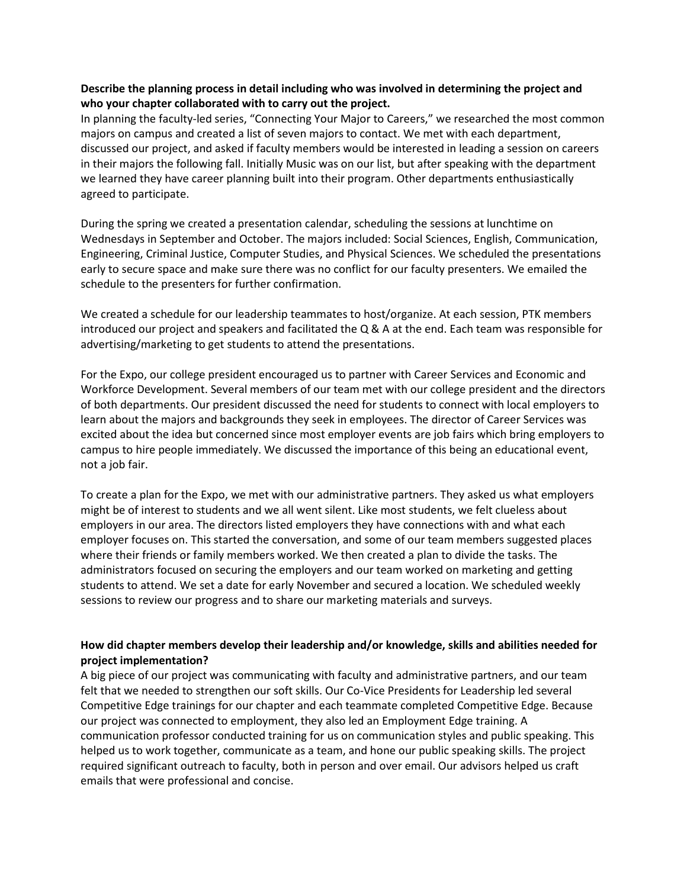#### **Describe the planning process in detail including who was involved in determining the project and who your chapter collaborated with to carry out the project.**

In planning the faculty-led series, "Connecting Your Major to Careers," we researched the most common majors on campus and created a list of seven majors to contact. We met with each department, discussed our project, and asked if faculty members would be interested in leading a session on careers in their majors the following fall. Initially Music was on our list, but after speaking with the department we learned they have career planning built into their program. Other departments enthusiastically agreed to participate.

During the spring we created a presentation calendar, scheduling the sessions at lunchtime on Wednesdays in September and October. The majors included: Social Sciences, English, Communication, Engineering, Criminal Justice, Computer Studies, and Physical Sciences. We scheduled the presentations early to secure space and make sure there was no conflict for our faculty presenters. We emailed the schedule to the presenters for further confirmation.

We created a schedule for our leadership teammates to host/organize. At each session, PTK members introduced our project and speakers and facilitated the Q & A at the end. Each team was responsible for advertising/marketing to get students to attend the presentations.

For the Expo, our college president encouraged us to partner with Career Services and Economic and Workforce Development. Several members of our team met with our college president and the directors of both departments. Our president discussed the need for students to connect with local employers to learn about the majors and backgrounds they seek in employees. The director of Career Services was excited about the idea but concerned since most employer events are job fairs which bring employers to campus to hire people immediately. We discussed the importance of this being an educational event, not a job fair.

To create a plan for the Expo, we met with our administrative partners. They asked us what employers might be of interest to students and we all went silent. Like most students, we felt clueless about employers in our area. The directors listed employers they have connections with and what each employer focuses on. This started the conversation, and some of our team members suggested places where their friends or family members worked. We then created a plan to divide the tasks. The administrators focused on securing the employers and our team worked on marketing and getting students to attend. We set a date for early November and secured a location. We scheduled weekly sessions to review our progress and to share our marketing materials and surveys.

## **How did chapter members develop their leadership and/or knowledge, skills and abilities needed for project implementation?**

A big piece of our project was communicating with faculty and administrative partners, and our team felt that we needed to strengthen our soft skills. Our Co-Vice Presidents for Leadership led several Competitive Edge trainings for our chapter and each teammate completed Competitive Edge. Because our project was connected to employment, they also led an Employment Edge training. A communication professor conducted training for us on communication styles and public speaking. This helped us to work together, communicate as a team, and hone our public speaking skills. The project required significant outreach to faculty, both in person and over email. Our advisors helped us craft emails that were professional and concise.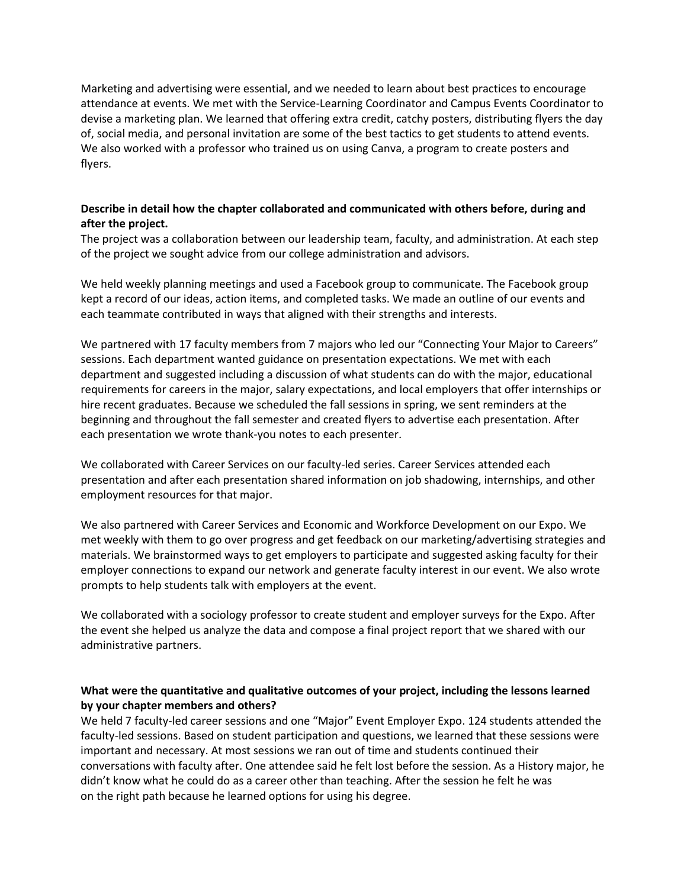Marketing and advertising were essential, and we needed to learn about best practices to encourage attendance at events. We met with the Service-Learning Coordinator and Campus Events Coordinator to devise a marketing plan. We learned that offering extra credit, catchy posters, distributing flyers the day of, social media, and personal invitation are some of the best tactics to get students to attend events. We also worked with a professor who trained us on using Canva, a program to create posters and flyers.

## **Describe in detail how the chapter collaborated and communicated with others before, during and after the project.**

The project was a collaboration between our leadership team, faculty, and administration. At each step of the project we sought advice from our college administration and advisors.

We held weekly planning meetings and used a Facebook group to communicate. The Facebook group kept a record of our ideas, action items, and completed tasks. We made an outline of our events and each teammate contributed in ways that aligned with their strengths and interests.

We partnered with 17 faculty members from 7 majors who led our "Connecting Your Major to Careers" sessions. Each department wanted guidance on presentation expectations. We met with each department and suggested including a discussion of what students can do with the major, educational requirements for careers in the major, salary expectations, and local employers that offer internships or hire recent graduates. Because we scheduled the fall sessions in spring, we sent reminders at the beginning and throughout the fall semester and created flyers to advertise each presentation. After each presentation we wrote thank-you notes to each presenter.

We collaborated with Career Services on our faculty-led series. Career Services attended each presentation and after each presentation shared information on job shadowing, internships, and other employment resources for that major.

We also partnered with Career Services and Economic and Workforce Development on our Expo. We met weekly with them to go over progress and get feedback on our marketing/advertising strategies and materials. We brainstormed ways to get employers to participate and suggested asking faculty for their employer connections to expand our network and generate faculty interest in our event. We also wrote prompts to help students talk with employers at the event.

We collaborated with a sociology professor to create student and employer surveys for the Expo. After the event she helped us analyze the data and compose a final project report that we shared with our administrative partners.

# **What were the quantitative and qualitative outcomes of your project, including the lessons learned by your chapter members and others?**

We held 7 faculty-led career sessions and one "Major" Event Employer Expo. 124 students attended the faculty-led sessions. Based on student participation and questions, we learned that these sessions were important and necessary. At most sessions we ran out of time and students continued their conversations with faculty after. One attendee said he felt lost before the session. As a History major, he didn't know what he could do as a career other than teaching. After the session he felt he was on the right path because he learned options for using his degree.